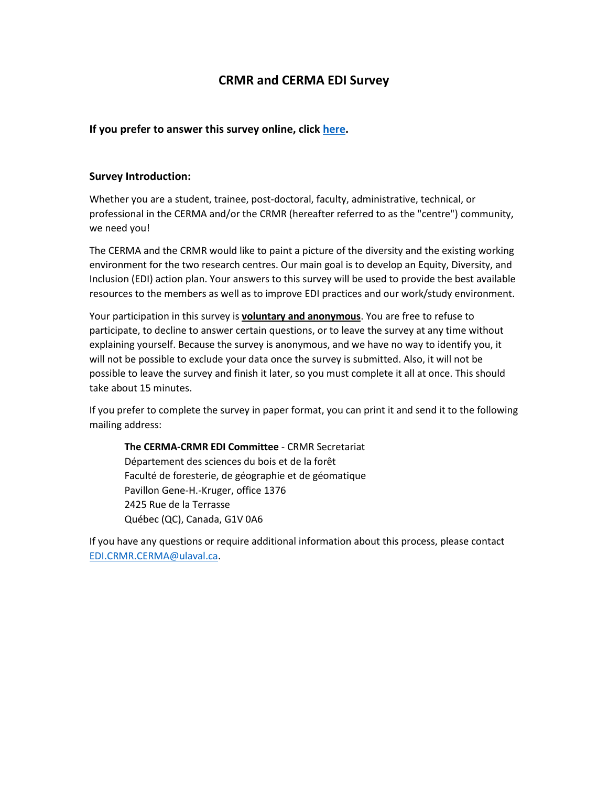# **CRMR and CERMA EDI Survey**

## **If you prefer to answer this survey online, click [here.](https://forms.office.com/r/ARkz95pSME)**

#### **Survey Introduction:**

Whether you are a student, trainee, post-doctoral, faculty, administrative, technical, or professional in the CERMA and/or the CRMR (hereafter referred to as the "centre") community, we need you!

The CERMA and the CRMR would like to paint a picture of the diversity and the existing working environment for the two research centres. Our main goal is to develop an Equity, Diversity, and Inclusion (EDI) action plan. Your answers to this survey will be used to provide the best available resources to the members as well as to improve EDI practices and our work/study environment.

Your participation in this survey is **voluntary and anonymous**. You are free to refuse to participate, to decline to answer certain questions, or to leave the survey at any time without explaining yourself. Because the survey is anonymous, and we have no way to identify you, it will not be possible to exclude your data once the survey is submitted. Also, it will not be possible to leave the survey and finish it later, so you must complete it all at once. This should take about 15 minutes.

If you prefer to complete the survey in paper format, you can print it and send it to the following mailing address:

**The CERMA-CRMR EDI Committee** - CRMR Secretariat Département des sciences du bois et de la forêt Faculté de foresterie, de géographie et de géomatique Pavillon Gene-H.-Kruger, office 1376 2425 Rue de la Terrasse Québec (QC), Canada, G1V 0A6

If you have any questions or require additional information about this process, please contact [EDI.CRMR.CERMA@ulaval.ca.](mailto:EDI.CRMR.CERMA@ulaval.ca)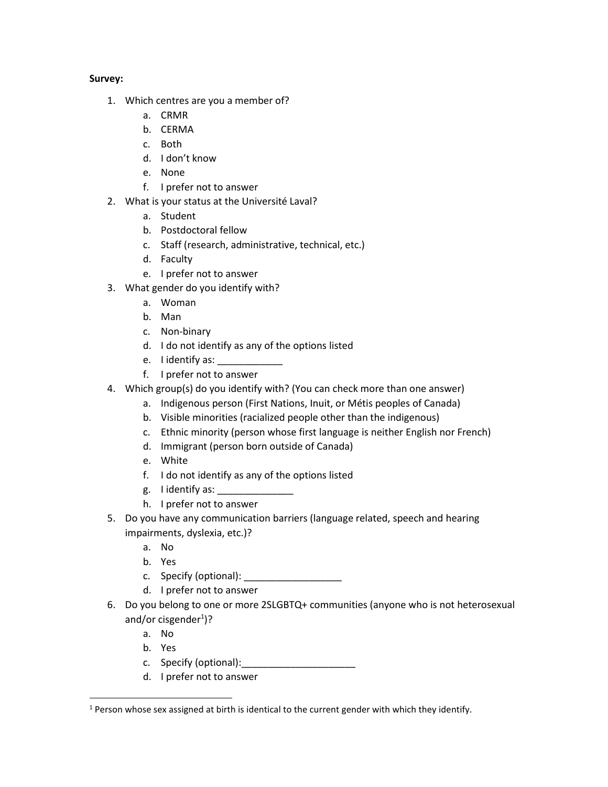## **Survey:**

- 1. Which centres are you a member of?
	- a. CRMR
	- b. CERMA
	- c. Both
	- d. I don't know
	- e. None
	- f. I prefer not to answer
- 2. What is your status at the Université Laval?
	- a. Student
	- b. Postdoctoral fellow
	- c. Staff (research, administrative, technical, etc.)
	- d. Faculty
	- e. I prefer not to answer
- 3. What gender do you identify with?
	- a. Woman
	- b. Man
	- c. Non-binary
	- d. I do not identify as any of the options listed
	- e. I identify as: \_\_\_\_\_\_\_\_\_\_\_\_\_
	- f. I prefer not to answer
- 4. Which group(s) do you identify with? (You can check more than one answer)
	- a. Indigenous person (First Nations, Inuit, or Métis peoples of Canada)
	- b. Visible minorities (racialized people other than the indigenous)
	- c. Ethnic minority (person whose first language is neither English nor French)
	- d. Immigrant (person born outside of Canada)
	- e. White
	- f. I do not identify as any of the options listed
	- g. I identify as: \_\_\_\_\_\_\_\_\_\_\_\_\_\_\_\_\_\_
	- h. I prefer not to answer
- 5. Do you have any communication barriers (language related, speech and hearing impairments, dyslexia, etc.)?
	- a. No
	- b. Yes
	- c. Specify (optional): \_\_\_\_\_\_\_\_\_\_\_\_\_\_\_\_\_\_
	- d. I prefer not to answer
- 6. Do you belong to one or more 2SLGBTQ+ communities (anyone who is not heterosexual and/or cisgender<sup>1</sup>)?
	- a. No
	- b. Yes
	- c. Specify (optional):\_\_\_\_\_\_\_\_\_\_\_\_\_\_\_\_\_\_\_\_\_
	- d. I prefer not to answer

 $<sup>1</sup>$  Person whose sex assigned at birth is identical to the current gender with which they identify.</sup>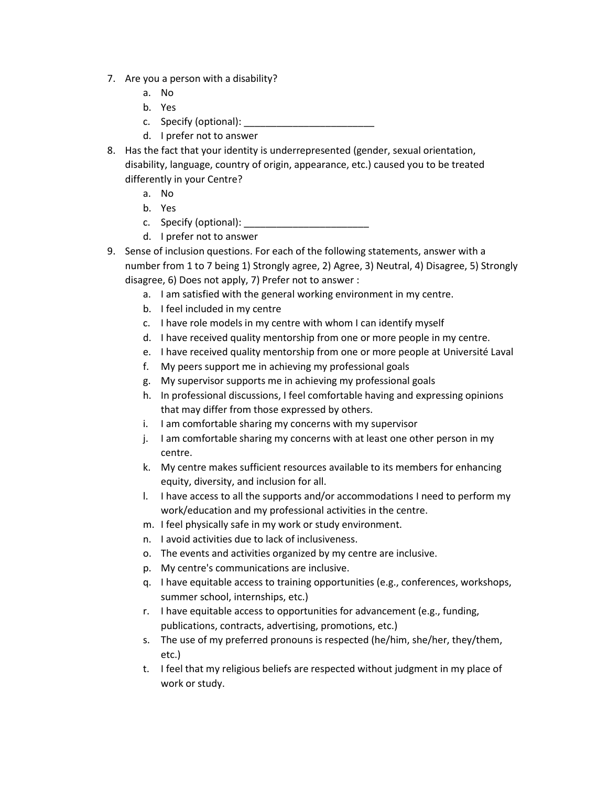- 7. Are you a person with a disability?
	- a. No
	- b. Yes
	- c. Specify (optional):
	- d. I prefer not to answer
- 8. Has the fact that your identity is underrepresented (gender, sexual orientation, disability, language, country of origin, appearance, etc.) caused you to be treated differently in your Centre?
	- a. No
	- b. Yes
	- c. Specify (optional): \_\_\_\_\_\_\_\_\_\_\_\_\_\_\_\_\_\_\_\_\_\_\_
	- d. I prefer not to answer
- 9. Sense of inclusion questions. For each of the following statements, answer with a number from 1 to 7 being 1) Strongly agree, 2) Agree, 3) Neutral, 4) Disagree, 5) Strongly disagree, 6) Does not apply, 7) Prefer not to answer :
	- a. I am satisfied with the general working environment in my centre.
	- b. I feel included in my centre
	- c. I have role models in my centre with whom I can identify myself
	- d. I have received quality mentorship from one or more people in my centre.
	- e. I have received quality mentorship from one or more people at Université Laval
	- f. My peers support me in achieving my professional goals
	- g. My supervisor supports me in achieving my professional goals
	- h. In professional discussions, I feel comfortable having and expressing opinions that may differ from those expressed by others.
	- i. I am comfortable sharing my concerns with my supervisor
	- j. I am comfortable sharing my concerns with at least one other person in my centre.
	- k. My centre makes sufficient resources available to its members for enhancing equity, diversity, and inclusion for all.
	- l. I have access to all the supports and/or accommodations I need to perform my work/education and my professional activities in the centre.
	- m. I feel physically safe in my work or study environment.
	- n. I avoid activities due to lack of inclusiveness.
	- o. The events and activities organized by my centre are inclusive.
	- p. My centre's communications are inclusive.
	- q. I have equitable access to training opportunities (e.g., conferences, workshops, summer school, internships, etc.)
	- r. I have equitable access to opportunities for advancement (e.g., funding, publications, contracts, advertising, promotions, etc.)
	- s. The use of my preferred pronouns is respected (he/him, she/her, they/them, etc.)
	- t. I feel that my religious beliefs are respected without judgment in my place of work or study.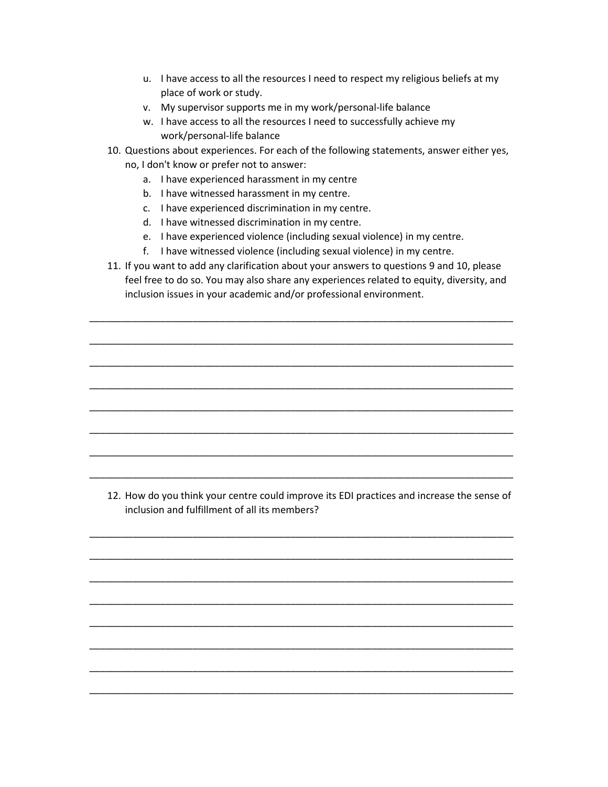- u. I have access to all the resources I need to respect my religious beliefs at my place of work or study.
- v. My supervisor supports me in my work/personal-life balance
- w. I have access to all the resources I need to successfully achieve my work/personal-life balance
- 10. Questions about experiences. For each of the following statements, answer either yes, no, I don't know or prefer not to answer:
	- a. I have experienced harassment in my centre
	- b. I have witnessed harassment in my centre.
	- c. I have experienced discrimination in my centre.
	- d. I have witnessed discrimination in my centre.
	- e. I have experienced violence (including sexual violence) in my centre.
	- f. I have witnessed violence (including sexual violence) in my centre.
- 11. If you want to add any clarification about your answers to questions 9 and 10, please feel free to do so. You may also share any experiences related to equity, diversity, and inclusion issues in your academic and/or professional environment.

\_\_\_\_\_\_\_\_\_\_\_\_\_\_\_\_\_\_\_\_\_\_\_\_\_\_\_\_\_\_\_\_\_\_\_\_\_\_\_\_\_\_\_\_\_\_\_\_\_\_\_\_\_\_\_\_\_\_\_\_\_\_\_\_\_\_\_\_\_\_\_\_\_\_\_\_\_\_

\_\_\_\_\_\_\_\_\_\_\_\_\_\_\_\_\_\_\_\_\_\_\_\_\_\_\_\_\_\_\_\_\_\_\_\_\_\_\_\_\_\_\_\_\_\_\_\_\_\_\_\_\_\_\_\_\_\_\_\_\_\_\_\_\_\_\_\_\_\_\_\_\_\_\_\_\_\_

\_\_\_\_\_\_\_\_\_\_\_\_\_\_\_\_\_\_\_\_\_\_\_\_\_\_\_\_\_\_\_\_\_\_\_\_\_\_\_\_\_\_\_\_\_\_\_\_\_\_\_\_\_\_\_\_\_\_\_\_\_\_\_\_\_\_\_\_\_\_\_\_\_\_\_\_\_\_

\_\_\_\_\_\_\_\_\_\_\_\_\_\_\_\_\_\_\_\_\_\_\_\_\_\_\_\_\_\_\_\_\_\_\_\_\_\_\_\_\_\_\_\_\_\_\_\_\_\_\_\_\_\_\_\_\_\_\_\_\_\_\_\_\_\_\_\_\_\_\_\_\_\_\_\_\_\_

\_\_\_\_\_\_\_\_\_\_\_\_\_\_\_\_\_\_\_\_\_\_\_\_\_\_\_\_\_\_\_\_\_\_\_\_\_\_\_\_\_\_\_\_\_\_\_\_\_\_\_\_\_\_\_\_\_\_\_\_\_\_\_\_\_\_\_\_\_\_\_\_\_\_\_\_\_\_

\_\_\_\_\_\_\_\_\_\_\_\_\_\_\_\_\_\_\_\_\_\_\_\_\_\_\_\_\_\_\_\_\_\_\_\_\_\_\_\_\_\_\_\_\_\_\_\_\_\_\_\_\_\_\_\_\_\_\_\_\_\_\_\_\_\_\_\_\_\_\_\_\_\_\_\_\_\_

\_\_\_\_\_\_\_\_\_\_\_\_\_\_\_\_\_\_\_\_\_\_\_\_\_\_\_\_\_\_\_\_\_\_\_\_\_\_\_\_\_\_\_\_\_\_\_\_\_\_\_\_\_\_\_\_\_\_\_\_\_\_\_\_\_\_\_\_\_\_\_\_\_\_\_\_\_\_

\_\_\_\_\_\_\_\_\_\_\_\_\_\_\_\_\_\_\_\_\_\_\_\_\_\_\_\_\_\_\_\_\_\_\_\_\_\_\_\_\_\_\_\_\_\_\_\_\_\_\_\_\_\_\_\_\_\_\_\_\_\_\_\_\_\_\_\_\_\_\_\_\_\_\_\_\_\_

\_\_\_\_\_\_\_\_\_\_\_\_\_\_\_\_\_\_\_\_\_\_\_\_\_\_\_\_\_\_\_\_\_\_\_\_\_\_\_\_\_\_\_\_\_\_\_\_\_\_\_\_\_\_\_\_\_\_\_\_\_\_\_\_\_\_\_\_\_\_\_\_\_\_\_\_\_\_

\_\_\_\_\_\_\_\_\_\_\_\_\_\_\_\_\_\_\_\_\_\_\_\_\_\_\_\_\_\_\_\_\_\_\_\_\_\_\_\_\_\_\_\_\_\_\_\_\_\_\_\_\_\_\_\_\_\_\_\_\_\_\_\_\_\_\_\_\_\_\_\_\_\_\_\_\_\_

\_\_\_\_\_\_\_\_\_\_\_\_\_\_\_\_\_\_\_\_\_\_\_\_\_\_\_\_\_\_\_\_\_\_\_\_\_\_\_\_\_\_\_\_\_\_\_\_\_\_\_\_\_\_\_\_\_\_\_\_\_\_\_\_\_\_\_\_\_\_\_\_\_\_\_\_\_\_

\_\_\_\_\_\_\_\_\_\_\_\_\_\_\_\_\_\_\_\_\_\_\_\_\_\_\_\_\_\_\_\_\_\_\_\_\_\_\_\_\_\_\_\_\_\_\_\_\_\_\_\_\_\_\_\_\_\_\_\_\_\_\_\_\_\_\_\_\_\_\_\_\_\_\_\_\_\_

\_\_\_\_\_\_\_\_\_\_\_\_\_\_\_\_\_\_\_\_\_\_\_\_\_\_\_\_\_\_\_\_\_\_\_\_\_\_\_\_\_\_\_\_\_\_\_\_\_\_\_\_\_\_\_\_\_\_\_\_\_\_\_\_\_\_\_\_\_\_\_\_\_\_\_\_\_\_

\_\_\_\_\_\_\_\_\_\_\_\_\_\_\_\_\_\_\_\_\_\_\_\_\_\_\_\_\_\_\_\_\_\_\_\_\_\_\_\_\_\_\_\_\_\_\_\_\_\_\_\_\_\_\_\_\_\_\_\_\_\_\_\_\_\_\_\_\_\_\_\_\_\_\_\_\_\_

\_\_\_\_\_\_\_\_\_\_\_\_\_\_\_\_\_\_\_\_\_\_\_\_\_\_\_\_\_\_\_\_\_\_\_\_\_\_\_\_\_\_\_\_\_\_\_\_\_\_\_\_\_\_\_\_\_\_\_\_\_\_\_\_\_\_\_\_\_\_\_\_\_\_\_\_\_\_

\_\_\_\_\_\_\_\_\_\_\_\_\_\_\_\_\_\_\_\_\_\_\_\_\_\_\_\_\_\_\_\_\_\_\_\_\_\_\_\_\_\_\_\_\_\_\_\_\_\_\_\_\_\_\_\_\_\_\_\_\_\_\_\_\_\_\_\_\_\_\_\_\_\_\_\_\_\_

12. How do you think your centre could improve its EDI practices and increase the sense of inclusion and fulfillment of all its members?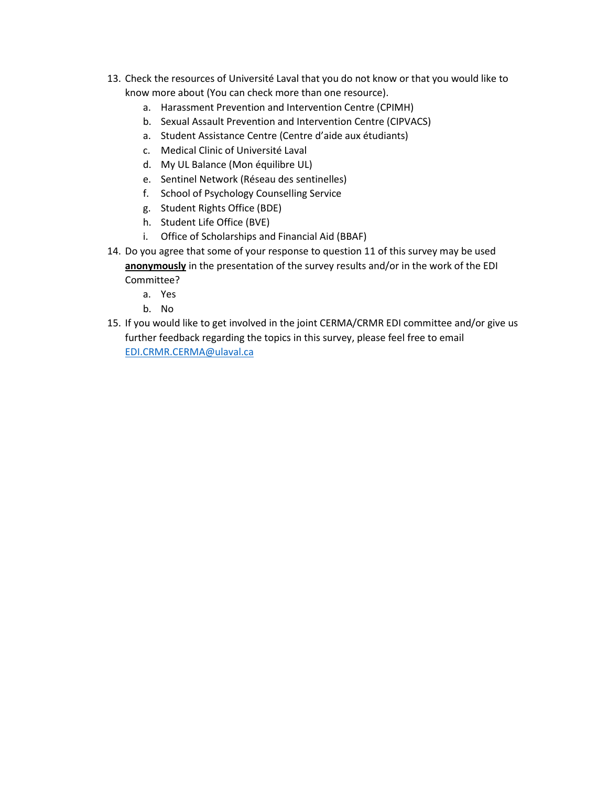- 13. Check the resources of Université Laval that you do not know or that you would like to know more about (You can check more than one resource).
	- a. Harassment Prevention and Intervention Centre (CPIMH)
	- b. Sexual Assault Prevention and Intervention Centre (CIPVACS)
	- a. Student Assistance Centre (Centre d'aide aux étudiants)
	- c. Medical Clinic of Université Laval
	- d. My UL Balance (Mon équilibre UL)
	- e. Sentinel Network (Réseau des sentinelles)
	- f. School of Psychology Counselling Service
	- g. Student Rights Office (BDE)
	- h. Student Life Office (BVE)
	- i. Office of Scholarships and Financial Aid (BBAF)
- 14. Do you agree that some of your response to question 11 of this survey may be used **anonymously** in the presentation of the survey results and/or in the work of the EDI Committee?
	- a. Yes
	- b. No
- 15. If you would like to get involved in the joint CERMA/CRMR EDI committee and/or give us further feedback regarding the topics in this survey, please feel free to email [EDI.CRMR.CERMA@ulaval.ca](mailto:EDI.CRMR.CERMA@ulaval.ca)